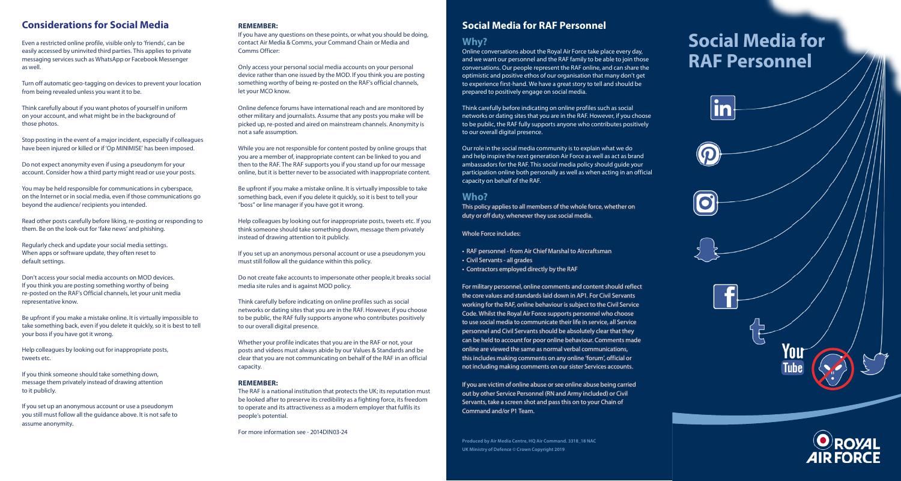### **Considerations for Social Media**

Even a restricted online profile, visible only to 'friends', can be easily accessed by uninvited third parties. This applies to private messaging services such as WhatsApp or Facebook Messenger as well.

Turn off automatic geo-tagging on devices to prevent your location from being revealed unless you want it to be.

Think carefully about if you want photos of yourself in uniform on your account, and what might be in the background of those photos.

Stop posting in the event of a major incident, especially if colleagues have been injured or killed or if 'Op MINIMISE' has been imposed.

Do not expect anonymity even if using a pseudonym for your account. Consider how a third party might read or use your posts.

You may be held responsible for communications in cyberspace, on the Internet or in social media, even if those communications go beyond the audience/ recipients you intended.

Read other posts carefully before liking, re-posting or responding to them. Be on the look-out for 'fake news' and phishing.

Regularly check and update your social media settings. When apps or software update, they often reset to default settings.

Don't access your social media accounts on MOD devices. If you think you are posting something worthy of being re-posted on the RAF's Official channels, let your unit media representative know.

Be upfront if you make a mistake online. It is virtually impossible to take something back, even if you delete it quickly, so it is best to tell your boss if you have got it wrong.

Help colleagues by looking out for inappropriate posts, tweets etc.

If you think someone should take something down, message them privately instead of drawing attention to it publicly.

If you set up an anonymous account or use a pseudonym you still must follow all the guidance above. It is not safe to assume anonymity.

#### **REMEMBER:**

If you have any questions on these points, or what you should be doing, contact Air Media & Comms, your Command Chain or Media and Comms Officer:

Only access your personal social media accounts on your personal device rather than one issued by the MOD. If you think you are posting something worthy of being re-posted on the RAF's official channels, let your MCO know.

Online defence forums have international reach and are monitored by other military and journalists. Assume that any posts you make will be picked up, re-posted and aired on mainstream channels. Anonymity is not a safe assumption.

While you are not responsible for content posted by online groups that you are a member of, inappropriate content can be linked to you and then to the RAF. The RAF supports you if you stand up for our message online, but it is better never to be associated with inappropriate content.

Be upfront if you make a mistake online. It is virtually impossible to take something back, even if you delete it quickly, so it is best to tell your "boss" or line manager if you have got it wrong.

Help colleagues by looking out for inappropriate posts, tweets etc. If you think someone should take something down, message them privately instead of drawing attention to it publicly.

If you set up an anonymous personal account or use a pseudonym you must still follow all the guidance within this policy.

Do not create fake accounts to impersonate other people,it breaks social media site rules and is against MOD policy.

Think carefully before indicating on online profiles such as social networks or dating sites that you are in the RAF. However, if you choose to be public, the RAF fully supports anyone who contributes positively to our overall digital presence.

Whether your profile indicates that you are in the RAF or not, your posts and videos must always abide by our Values & Standards and be clear that you are not communicating on behalf of the RAF in an official capacity.

#### **REMEMBER:**

The RAF is a national institution that protects the UK; its reputation must be looked after to preserve its credibility as a fighting force, its freedom to operate and its attractiveness as a modern employer that fulfils its people's potential.

For more information see - 2014DIN03-24

### **Social Media for RAF Personnel**

#### **Why?**

Online conversations about the Royal Air Force take place every day, and we want our personnel and the RAF family to be able to join those conversations. Our people represent the RAF online, and can share the optimistic and positive ethos of our organisation that many don't get to experience first-hand. We have a great story to tell and should be prepared to positively engage on social media.

Think carefully before indicating on online profiles such as social networks or dating sites that you are in the RAF. However, if you choose to be public, the RAF fully supports anyone who contributes positively to our overall digital presence.

Our role in the social media community is to explain what we do and help inspire the next generation Air Force as well as act as brand ambassadors for the RAF. This social media policy should guide your participation online both personally as well as when acting in an official capacity on behalf of the RAF.

#### **Who?**

This policy applies to all members of the whole force, whether on duty or off duty, whenever they use social media.

Whole Force includes:

- RAF personnel from Air Chief Marshal to Aircraftsman • Civil Servants - all grades
- Contractors employed directly by the RAF

For military personnel, online comments and content should reflect the core values and standards laid down in AP1. For Civil Servants working for the RAF, online behaviour is subject to the Civil Service Code. Whilst the Royal Air Force supports personnel who choose to use social media to communicate their life in service, all Service personnel and Civil Servants should be absolutely clear that they can be held to account for poor online behaviour. Comments made online are viewed the same as normal verbal communications, this includes making comments on any online 'forum', official or not including making comments on our sister Services accounts.

If you are victim of online abuse or see online abuse being carried out by other Service Personnel (RN and Army included) or Civil Servants, take a screen shot and pass this on to your Chain of Command and/or P1 Team.

**Produced by Air Media Centre, HQ Air Command. 3318\_18 NAC UK Ministry of Defence © Crown Copyright 2019**

# **Social Media for RAF Personnel**